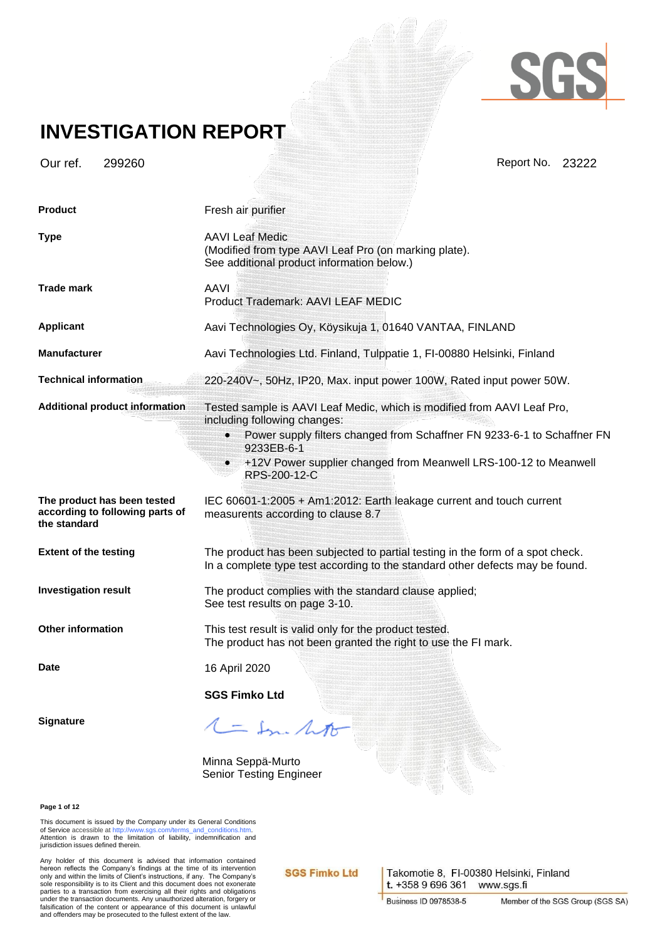

### **INVESTIGATION REPORT**

Our ref. 299260 Report No. 23222

| <b>Product</b>                                                                 | Fresh air purifier                                                                                                                                                                                                                                                                                             |
|--------------------------------------------------------------------------------|----------------------------------------------------------------------------------------------------------------------------------------------------------------------------------------------------------------------------------------------------------------------------------------------------------------|
| <b>Type</b>                                                                    | <b>AAVI Leaf Medic</b><br>(Modified from type AAVI Leaf Pro (on marking plate).<br>See additional product information below.)                                                                                                                                                                                  |
| <b>Trade mark</b>                                                              | <b>AAVI</b><br>Product Trademark: AAVI LEAF MEDIC                                                                                                                                                                                                                                                              |
| <b>Applicant</b>                                                               | Aavi Technologies Oy, Köysikuja 1, 01640 VANTAA, FINLAND                                                                                                                                                                                                                                                       |
| <b>Manufacturer</b>                                                            | Aavi Technologies Ltd. Finland, Tulppatie 1, FI-00880 Helsinki, Finland                                                                                                                                                                                                                                        |
| <b>Technical information</b>                                                   | 220-240V~, 50Hz, IP20, Max. input power 100W, Rated input power 50W.                                                                                                                                                                                                                                           |
| <b>Additional product information</b>                                          | Tested sample is AAVI Leaf Medic, which is modified from AAVI Leaf Pro,<br>including following changes:<br>Power supply filters changed from Schaffner FN 9233-6-1 to Schaffner FN<br>$\bullet$<br>9233EB-6-1<br>+12V Power supplier changed from Meanwell LRS-100-12 to Meanwell<br>$\bullet$<br>RPS-200-12-C |
| The product has been tested<br>according to following parts of<br>the standard | IEC 60601-1:2005 + Am1:2012: Earth leakage current and touch current<br>measurents according to clause 8.7                                                                                                                                                                                                     |
| <b>Extent of the testing</b>                                                   | The product has been subjected to partial testing in the form of a spot check.<br>In a complete type test according to the standard other defects may be found.                                                                                                                                                |
| <b>Investigation result</b>                                                    | The product complies with the standard clause applied;<br>See test results on page 3-10.                                                                                                                                                                                                                       |
| <b>Other information</b>                                                       | This test result is valid only for the product tested.<br>The product has not been granted the right to use the FI mark.                                                                                                                                                                                       |
| Date                                                                           | 16 April 2020                                                                                                                                                                                                                                                                                                  |
|                                                                                | <b>SGS Fimko Ltd</b>                                                                                                                                                                                                                                                                                           |
| <b>Signature</b>                                                               | 1 = In ht                                                                                                                                                                                                                                                                                                      |
|                                                                                |                                                                                                                                                                                                                                                                                                                |

Minna Seppä-Murto Senior Testing Engineer

**Page 1 of 12**

This document is issued by the Company under its General Conditions<br>of Service accessible a[t http://www.sgs.com/terms\\_and\\_conditions.htm.](http://www.sgs.com/terms_and_conditions.htm)<br>Attention is drawn to the limitation of liability, indemnification and jurisdiction issues defined therein.

Any holder of this document is advised that information contained<br>hereon reflects the Company's findings at the time of its intervention<br>only and within the limits of Client's instructions, if any. The Company's<br>sole respo parties to a transaction from exercising all their rights and obligations under the transaction documents. Any unauthorized alteration, forgery or falsification of the content or appearance of this document is unlawful and offenders may be prosecuted to the fullest extent of the law.

**SGS Fimko Ltd** 

Takomotie 8, FI-00380 Helsinki, Finland t. +358 9 696 361 www.sgs.fi

**Business ID 0978538-5**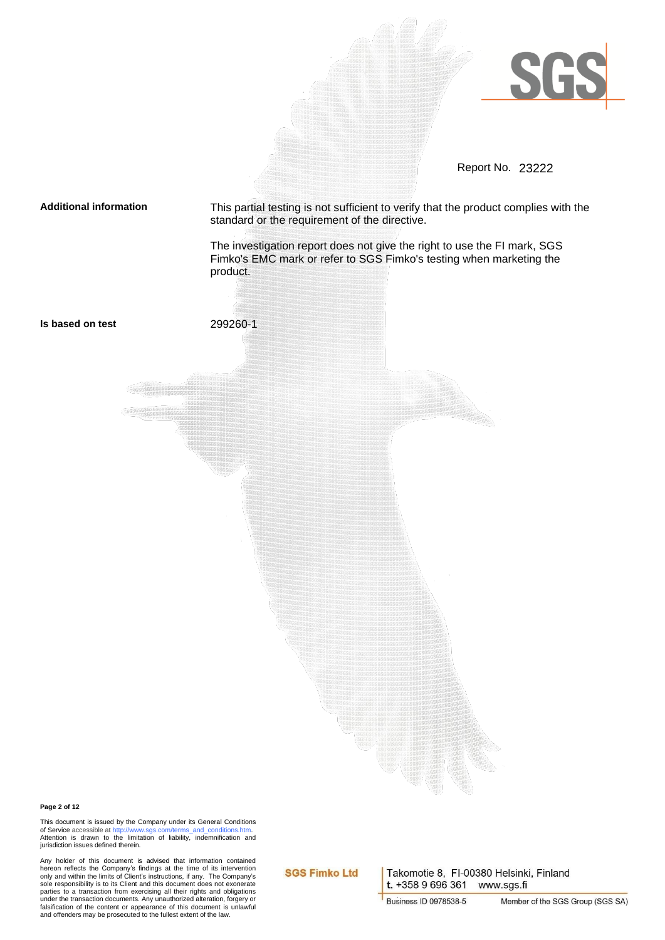

Report No. 23222

**Additional information** This partial testing is not sufficient to verify that the product complies with the standard or the requirement of the directive.

> The investigation report does not give the right to use the FI mark, SGS Fimko's EMC mark or refer to SGS Fimko's testing when marketing the product.



#### **Page 2 of 12**

This document is issued by the Company under its General Conditions of Service accessible a[t http://www.sgs.com/terms\\_and\\_conditions.htm.](http://www.sgs.com/terms_and_conditions.htm) Attention is drawn to the limitation of liability, indemnification and jurisdiction issues defined therein.

Any holder of this document is advised that information contained<br>hereon reflects the Company's findings at the time of its intervention<br>only and within the limits of Client's instructions, if any. The Company's<br>sole respo parties to a transaction from exercising all their rights and obligations under the transaction documents. Any unauthorized alteration, forgery or falsification of the content or appearance of this document is unlawful and offenders may be prosecuted to the fullest extent of the law.

### **SGS Fimko Ltd**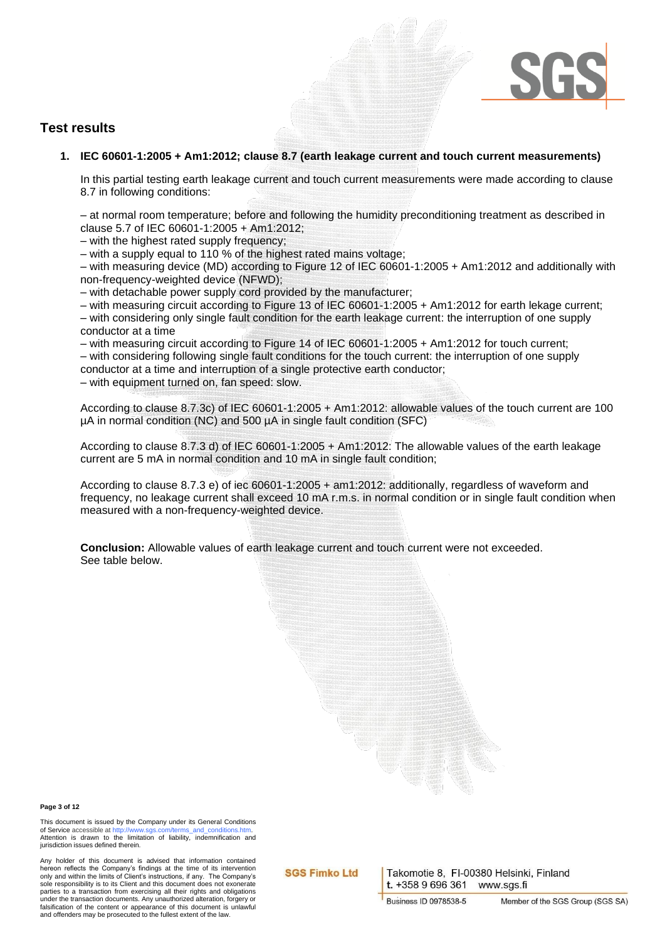

### **Test results**

**1. IEC 60601-1:2005 + Am1:2012; clause 8.7 (earth leakage current and touch current measurements)**

In this partial testing earth leakage current and touch current measurements were made according to clause 8.7 in following conditions:

– at normal room temperature; before and following the humidity preconditioning treatment as described in clause 5.7 of IEC 60601-1:2005 + Am1:2012;

– with the highest rated supply frequency;

– with a supply equal to 110 % of the highest rated mains voltage;

– with measuring device (MD) according to Figure 12 of IEC 60601-1:2005 + Am1:2012 and additionally with non-frequency-weighted device (NFWD);

– with detachable power supply cord provided by the manufacturer;

– with measuring circuit according to Figure 13 of IEC 60601-1:2005 + Am1:2012 for earth lekage current; – with considering only single fault condition for the earth leakage current: the interruption of one supply conductor at a time

– with measuring circuit according to Figure 14 of IEC 60601-1:2005 + Am1:2012 for touch current; – with considering following single fault conditions for the touch current: the interruption of one supply

conductor at a time and interruption of a single protective earth conductor;

– with equipment turned on, fan speed: slow.

According to clause 8.7.3c) of IEC 60601-1:2005 + Am1:2012: allowable values of the touch current are 100 µA in normal condition (NC) and 500 µA in single fault condition (SFC)

According to clause 8.7.3 d) of IEC 60601-1:2005 + Am1:2012: The allowable values of the earth leakage current are 5 mA in normal condition and 10 mA in single fault condition;

According to clause 8.7.3 e) of iec 60601-1:2005 + am1:2012: additionally, regardless of waveform and frequency, no leakage current shall exceed 10 mA r.m.s. in normal condition or in single fault condition when measured with a non-frequency-weighted device.

**Conclusion:** Allowable values of earth leakage current and touch current were not exceeded. See table below.



This document is issued by the Company under its General Conditions<br>of Service accessible at http://www.sqs.com/terms.and.conditions.htm of Service accessible at http. Attention is drawn to the limitation of liability, indemnification and jurisdiction issues defined therein.

Any holder of this document is advised that information contained hereon reflects the Company's findings at the time of its intervention only and within the limits of Client's instructions, if any. The Company's sole responsibility is to its Client and this document does not exonerate parties to a transaction from exercising all their rights and obligations under the transaction documents. Any unauthorized alteration, forgery or falsification of the content or appearance of this document is unlawful and offenders may be prosecuted to the fullest extent of the law.

**SGS Fimko Ltd**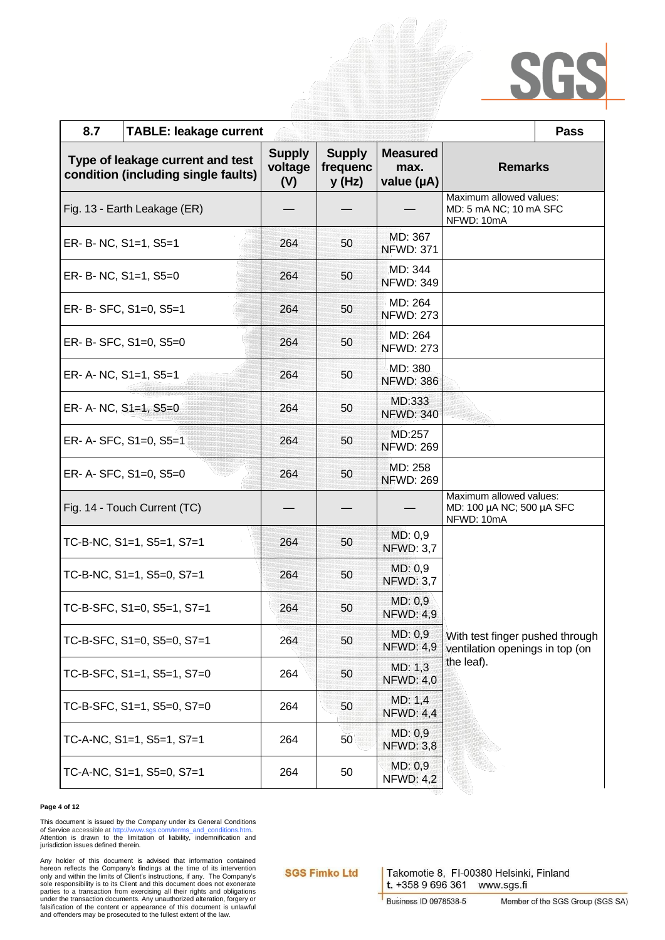| 8.7<br><b>TABLE: leakage current</b>                                    |                                 |                                    |                                       |                                                                                  | <b>Pass</b> |
|-------------------------------------------------------------------------|---------------------------------|------------------------------------|---------------------------------------|----------------------------------------------------------------------------------|-------------|
| Type of leakage current and test<br>condition (including single faults) | <b>Supply</b><br>voltage<br>(V) | <b>Supply</b><br>frequenc<br>y(Hz) | <b>Measured</b><br>max.<br>value (µA) | <b>Remarks</b>                                                                   |             |
| Fig. 13 - Earth Leakage (ER)                                            |                                 |                                    |                                       | Maximum allowed values:<br>MD: 5 mA NC; 10 mA SFC<br>NFWD: 10mA                  |             |
| ER- B- NC, S1=1, S5=1                                                   | 264                             | 50                                 | MD: 367<br><b>NFWD: 371</b>           |                                                                                  |             |
| ER- B- NC, S1=1, S5=0                                                   | 264                             | 50                                 | MD: 344<br><b>NFWD: 349</b>           |                                                                                  |             |
| ER- B- SFC, S1=0, S5=1                                                  | 264                             | 50                                 | MD: 264<br><b>NFWD: 273</b>           |                                                                                  |             |
| ER- B- SFC, S1=0, S5=0                                                  | 264                             | 50                                 | MD: 264<br><b>NFWD: 273</b>           |                                                                                  |             |
| ER- A- NC, S1=1, S5=1                                                   | 264                             | 50                                 | MD: 380<br><b>NFWD: 386</b>           |                                                                                  |             |
| ER- A- NC, $S1=1$ , $S5=0$                                              | 264                             | 50                                 | MD:333<br><b>NFWD: 340</b>            |                                                                                  |             |
| ER- A- SFC, S1=0, S5=1                                                  | 264                             | 50                                 | MD:257<br><b>NFWD: 269</b>            |                                                                                  |             |
| ER- A- SFC, S1=0, S5=0                                                  | 264                             | 50                                 | MD: 258<br><b>NFWD: 269</b>           |                                                                                  |             |
| Fig. 14 - Touch Current (TC)                                            |                                 |                                    |                                       | Maximum allowed values:<br>MD: 100 µA NC; 500 µA SFC<br>NFWD: 10mA               |             |
| TC-B-NC, $S1=1$ , $S5=1$ , $S7=1$                                       | 264                             | 50                                 | MD: 0,9<br><b>NFWD: 3,7</b>           |                                                                                  |             |
| TC-B-NC, $S1=1$ , $S5=0$ , $S7=1$                                       | 264                             | 50                                 | MD: 0,9<br><b>NFWD: 3,7</b>           |                                                                                  |             |
| TC-B-SFC, S1=0, S5=1, S7=1                                              | 264                             | 50                                 | MD: 0,9<br><b>NFWD: 4,9</b>           | With test finger pushed through<br>ventilation openings in top (on<br>the leaf). |             |
| TC-B-SFC, S1=0, S5=0, S7=1                                              | 264                             | 50                                 | MD: 0,9<br><b>NFWD: 4,9</b>           |                                                                                  |             |
| TC-B-SFC, S1=1, S5=1, S7=0                                              | 264                             | 50                                 | MD: 1,3<br><b>NFWD: 4,0</b>           |                                                                                  |             |
| TC-B-SFC, S1=1, S5=0, S7=0                                              | 264                             | 50                                 | MD: 1,4<br><b>NFWD: 4,4</b>           |                                                                                  |             |
| TC-A-NC, S1=1, S5=1, S7=1                                               | 264                             | 50                                 | MD: 0,9<br><b>NFWD: 3,8</b>           |                                                                                  |             |
| TC-A-NC, S1=1, S5=0, S7=1                                               | 264                             | 50                                 | MD: 0,9<br><b>NFWD: 4,2</b>           |                                                                                  |             |

### **Page 4 of 12**

This document is issued by the Company under its General Conditions<br>of Service accessible a[t http://www.sgs.com/terms\\_and\\_conditions.htm.](http://www.sgs.com/terms_and_conditions.htm)<br>Attention is drawn to the limitation of liability, indemnification and jurisdiction issues defined therein.

Any holder of this document is advised that information contained<br>hereon reflects the Company's findings at the time of its intervention<br>only and within the limits of Client's instructions, if any. The Company's<br>sole respo falsification of the content or appearance of this document is unlawful and offenders may be prosecuted to the fullest extent of the law.

**SGS Fimko Ltd**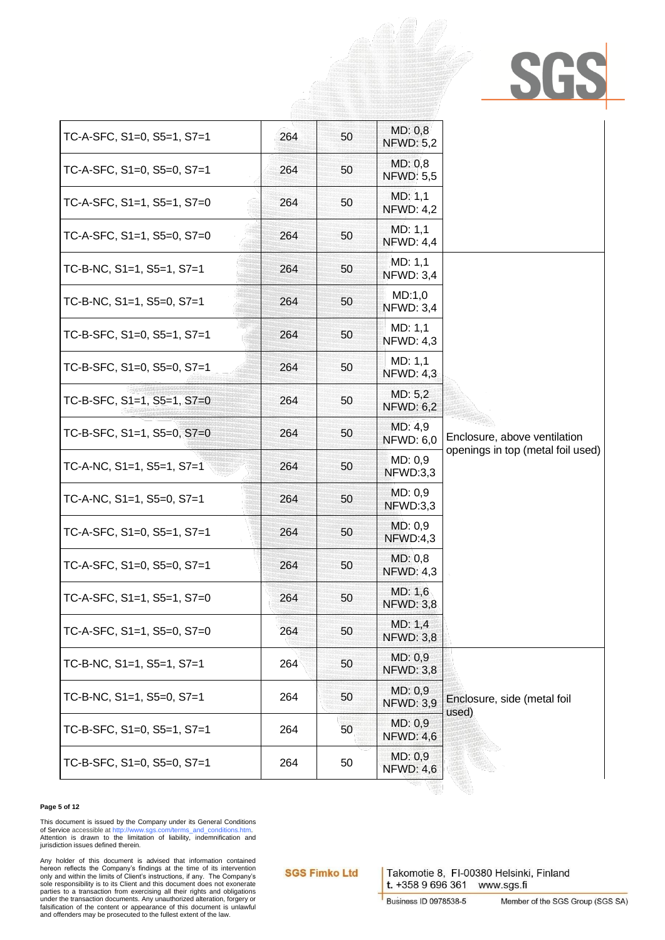| TC-A-SFC, S1=0, S5=1, S7=1        | 264 | 50 | MD: 0,8<br><b>NFWD: 5,2</b> |                                                                   |
|-----------------------------------|-----|----|-----------------------------|-------------------------------------------------------------------|
| TC-A-SFC, S1=0, S5=0, S7=1        | 264 | 50 | MD: 0,8<br><b>NFWD: 5,5</b> |                                                                   |
| TC-A-SFC, S1=1, S5=1, S7=0        | 264 | 50 | MD: 1,1<br><b>NFWD: 4,2</b> |                                                                   |
| TC-A-SFC, S1=1, S5=0, S7=0        | 264 | 50 | MD: 1,1<br><b>NFWD: 4,4</b> |                                                                   |
| TC-B-NC, S1=1, S5=1, S7=1         | 264 | 50 | MD: 1,1<br><b>NFWD: 3,4</b> |                                                                   |
| TC-B-NC, $S1=1$ , $S5=0$ , $S7=1$ | 264 | 50 | MD:1,0<br><b>NFWD: 3,4</b>  |                                                                   |
| TC-B-SFC, S1=0, S5=1, S7=1        | 264 | 50 | MD: 1,1<br><b>NFWD: 4,3</b> |                                                                   |
| TC-B-SFC, S1=0, S5=0, S7=1        | 264 | 50 | MD: 1,1<br><b>NFWD: 4,3</b> |                                                                   |
| TC-B-SFC, S1=1, S5=1, S7=0        | 264 | 50 | MD: 5,2<br><b>NFWD: 6,2</b> |                                                                   |
| TC-B-SFC, S1=1, S5=0, S7=0        | 264 | 50 | MD: 4,9<br><b>NFWD: 6,0</b> | Enclosure, above ventilation<br>openings in top (metal foil used) |
| TC-A-NC, S1=1, S5=1, S7=1         | 264 | 50 | MD: 0.9<br>NFWD:3,3         |                                                                   |
| TC-A-NC, $S1=1$ , $S5=0$ , $S7=1$ | 264 | 50 | MD: 0,9<br>NFWD:3,3         |                                                                   |
| TC-A-SFC, S1=0, S5=1, S7=1        | 264 | 50 | MD: 0.9<br>NFWD:4,3         |                                                                   |
| TC-A-SFC, S1=0, S5=0, S7=1        | 264 | 50 | MD: 0,8<br><b>NFWD: 4,3</b> |                                                                   |
| TC-A-SFC, S1=1, S5=1, S7=0        | 264 | 50 | MD: 1,6<br><b>NFWD: 3,8</b> |                                                                   |
| TC-A-SFC, S1=1, S5=0, S7=0        | 264 | 50 | MD: 1,4<br><b>NFWD: 3,8</b> |                                                                   |
| TC-B-NC, S1=1, S5=1, S7=1         | 264 | 50 | MD: 0,9<br><b>NFWD: 3,8</b> | Enclosure, side (metal foil<br>used)                              |
| TC-B-NC, S1=1, S5=0, S7=1         | 264 | 50 | MD: 0,9<br><b>NFWD: 3,9</b> |                                                                   |
| TC-B-SFC, S1=0, S5=1, S7=1        | 264 | 50 | MD: 0.9<br><b>NFWD: 4,6</b> |                                                                   |
| TC-B-SFC, S1=0, S5=0, S7=1        | 264 | 50 | MD: 0,9<br><b>NFWD: 4,6</b> |                                                                   |

### **Page 5 of 12**

This document is issued by the Company under its General Conditions<br>of Service accessible a[t http://www.sgs.com/terms\\_and\\_conditions.htm.](http://www.sgs.com/terms_and_conditions.htm)<br>Attention is drawn to the limitation of liability, indemnification and jurisdiction issues defined therein.

Any holder of this document is advised that information contained<br>hereon reflects the Company's findings at the time of its intervention<br>only and within the limits of Client's instructions, if any. The Company's<br>sole respo falsification of the content or appearance of this document is unlawful and offenders may be prosecuted to the fullest extent of the law.

**SGS Fimko Ltd**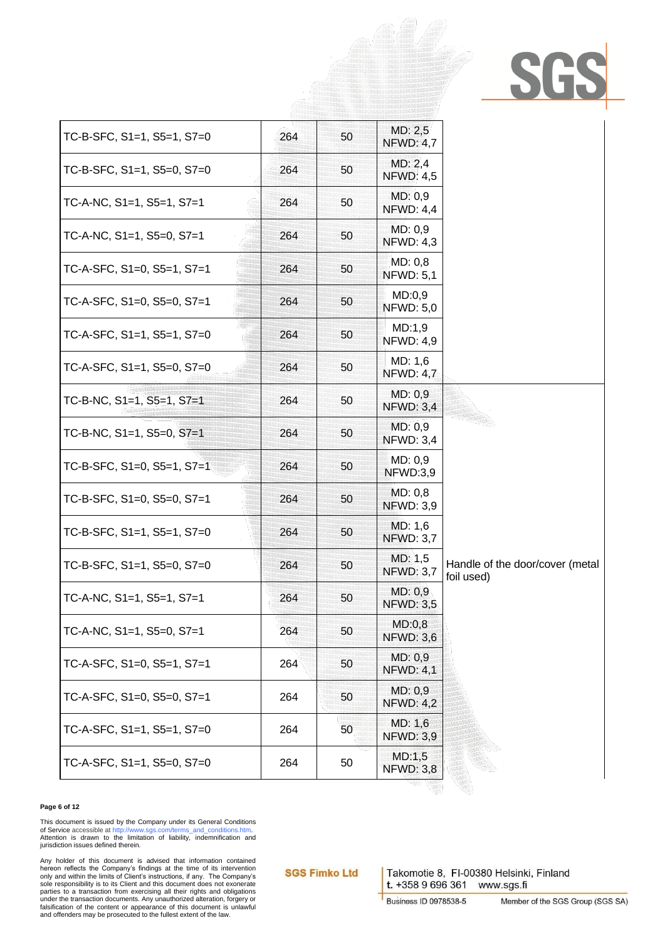| TC-B-SFC, S1=1, S5=1, S7=0         | 264 | 50 | MD: 2,5<br><b>NFWD: 4,7</b> |                                               |
|------------------------------------|-----|----|-----------------------------|-----------------------------------------------|
| TC-B-SFC, S1=1, S5=0, S7=0         | 264 | 50 | MD: 2,4<br><b>NFWD: 4,5</b> |                                               |
| TC-A-NC, $S1=1$ , $S5=1$ , $S7=1$  | 264 | 50 | MD: 0,9<br><b>NFWD: 4,4</b> |                                               |
| TC-A-NC, $S1=1$ , $S5=0$ , $S7=1$  | 264 | 50 | MD: 0.9<br><b>NFWD: 4,3</b> |                                               |
| TC-A-SFC, S1=0, S5=1, S7=1         | 264 | 50 | MD: 0,8<br><b>NFWD: 5,1</b> |                                               |
| TC-A-SFC, S1=0, S5=0, S7=1         | 264 | 50 | MD:0,9<br><b>NFWD: 5,0</b>  |                                               |
| TC-A-SFC, S1=1, S5=1, S7=0         | 264 | 50 | MD:1,9<br><b>NFWD: 4,9</b>  |                                               |
| TC-A-SFC, S1=1, S5=0, S7=0         | 264 | 50 | MD: 1,6<br><b>NFWD: 4,7</b> |                                               |
| TC-B-NC, $S1=1$ , $S5=1$ , $S7=1$  | 264 | 50 | MD: 0,9<br><b>NFWD: 3,4</b> |                                               |
| TC-B-NC, S1=1, S5=0, S7=1          | 264 | 50 | MD: 0,9<br><b>NFWD: 3,4</b> |                                               |
| TC-B-SFC, $S1=0$ , $S5=1$ , $S7=1$ | 264 | 50 | MD: 0,9<br>NFWD:3,9         |                                               |
| TC-B-SFC, S1=0, S5=0, S7=1         | 264 | 50 | MD: 0,8<br><b>NFWD: 3,9</b> |                                               |
| TC-B-SFC, S1=1, S5=1, S7=0         | 264 | 50 | MD: 1,6<br><b>NFWD: 3,7</b> |                                               |
| TC-B-SFC, S1=1, S5=0, S7=0         | 264 | 50 | MD: 1,5<br><b>NFWD: 3,7</b> | Handle of the door/cover (metal<br>foil used) |
| TC-A-NC, S1=1, S5=1, S7=1          | 264 | 50 | MD: 0,9<br><b>NFWD: 3,5</b> |                                               |
| TC-A-NC, $S1=1$ , $S5=0$ , $S7=1$  | 264 | 50 | MD:0,8<br><b>NFWD: 3,6</b>  |                                               |
| TC-A-SFC, S1=0, S5=1, S7=1         | 264 | 50 | MD: 0,9<br><b>NFWD: 4,1</b> |                                               |
| TC-A-SFC, S1=0, S5=0, S7=1         | 264 | 50 | MD: 0,9<br><b>NFWD: 4,2</b> |                                               |
| TC-A-SFC, S1=1, S5=1, S7=0         | 264 | 50 | MD: 1,6<br><b>NFWD: 3,9</b> |                                               |
| TC-A-SFC, S1=1, S5=0, S7=0         | 264 | 50 | MD:1,5<br><b>NFWD: 3,8</b>  |                                               |

### **Page 6 of 12**

This document is issued by the Company under its General Conditions<br>of Service accessible a[t http://www.sgs.com/terms\\_and\\_conditions.htm.](http://www.sgs.com/terms_and_conditions.htm)<br>Attention is drawn to the limitation of liability, indemnification and jurisdiction issues defined therein.

Any holder of this document is advised that information contained<br>hereon reflects the Company's findings at the time of its intervention<br>only and within the limits of Client's instructions, if any. The Company's<br>sole respo parties to a transaction from exercising all their rights and obligations under the transaction documents. Any unauthorized alteration, forgery or falsification of the content or appearance of this document is unlawful and offenders may be prosecuted to the fullest extent of the law.

**SGS Fimko Ltd**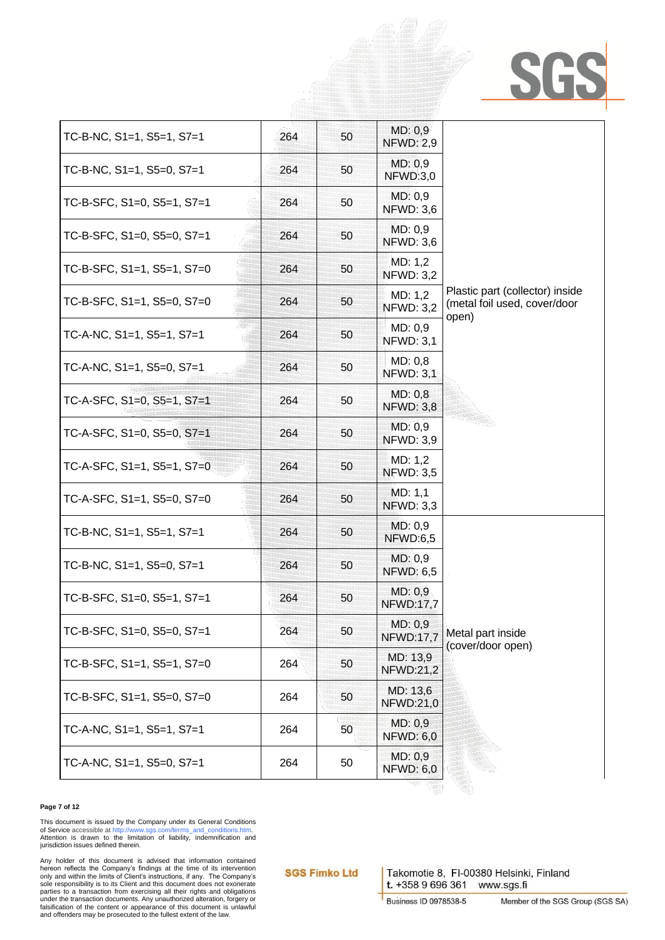| TC-B-NC, S1=1, S5=1, S7=1          | 264 | 50 | MD: 0,9<br><b>NFWD: 2,9</b>  |                                                                          |  |
|------------------------------------|-----|----|------------------------------|--------------------------------------------------------------------------|--|
| TC-B-NC, $S1=1$ , $S5=0$ , $S7=1$  | 264 | 50 | MD: 0,9<br>NFWD:3,0          |                                                                          |  |
| TC-B-SFC, S1=0, S5=1, S7=1         | 264 | 50 | MD: 0.9<br><b>NFWD: 3,6</b>  |                                                                          |  |
| TC-B-SFC, S1=0, S5=0, S7=1         | 264 | 50 | MD: 0,9<br><b>NFWD: 3,6</b>  |                                                                          |  |
| TC-B-SFC, S1=1, S5=1, S7=0         | 264 | 50 | MD: 1,2<br><b>NFWD: 3,2</b>  |                                                                          |  |
| TC-B-SFC, S1=1, S5=0, S7=0         | 264 | 50 | MD: 1,2<br><b>NFWD: 3,2</b>  | Plastic part (collector) inside<br>(metal foil used, cover/door<br>open) |  |
| TC-A-NC, S1=1, S5=1, S7=1          | 264 | 50 | MD: 0,9<br><b>NFWD: 3,1</b>  |                                                                          |  |
| TC-A-NC, S1=1, S5=0, S7=1          | 264 | 50 | MD: 0,8<br><b>NFWD: 3,1</b>  |                                                                          |  |
| TC-A-SFC, S1=0, S5=1, S7=1         | 264 | 50 | MD: 0,8<br><b>NFWD: 3,8</b>  |                                                                          |  |
| TC-A-SFC, S1=0, S5=0, S7=1         | 264 | 50 | MD: 0,9<br><b>NFWD: 3,9</b>  |                                                                          |  |
| TC-A-SFC, $S1=1$ , $S5=1$ , $S7=0$ | 264 | 50 | MD: 1,2<br><b>NFWD: 3,5</b>  |                                                                          |  |
| TC-A-SFC, S1=1, S5=0, S7=0         | 264 | 50 | MD: 1,1<br><b>NFWD: 3,3</b>  |                                                                          |  |
| TC-B-NC, S1=1, S5=1, S7=1          | 264 | 50 | MD: 0,9<br>NFWD:6,5          |                                                                          |  |
| TC-B-NC, $S1=1$ , $S5=0$ , $S7=1$  | 264 | 50 | MD: 0,9<br><b>NFWD: 6,5</b>  |                                                                          |  |
| TC-B-SFC, S1=0, S5=1, S7=1         | 264 | 50 | MD: 0,9<br><b>NFWD:17,7</b>  | Metal part inside<br>(cover/door open)                                   |  |
| TC-B-SFC, S1=0, S5=0, S7=1         | 264 | 50 | MD: 0,9<br><b>NFWD:17,7</b>  |                                                                          |  |
| TC-B-SFC, S1=1, S5=1, S7=0         | 264 | 50 | MD: 13,9<br><b>NFWD:21,2</b> |                                                                          |  |
| TC-B-SFC, S1=1, S5=0, S7=0         | 264 | 50 | MD: 13,6<br><b>NFWD:21,0</b> |                                                                          |  |
| TC-A-NC, $S1=1$ , $S5=1$ , $S7=1$  | 264 | 50 | MD: 0,9<br><b>NFWD: 6,0</b>  |                                                                          |  |
| TC-A-NC, S1=1, S5=0, S7=1          | 264 | 50 | MD: 0,9<br><b>NFWD: 6,0</b>  |                                                                          |  |

### **Page 7 of 12**

This document is issued by the Company under its General Conditions<br>of Service accessible a[t http://www.sgs.com/terms\\_and\\_conditions.htm.](http://www.sgs.com/terms_and_conditions.htm)<br>Attention is drawn to the limitation of liability, indemnification and jurisdiction issues defined therein.

Any holder of this document is advised that information contained<br>hereon reflects the Company's findings at the time of its intervention<br>only and within the limits of Client's instructions, if any. The Company's<br>sole respo parties to a transaction from exercising all their rights and obligations under the transaction documents. Any unauthorized alteration, forgery or falsification of the content or appearance of this document is unlawful and offenders may be prosecuted to the fullest extent of the law.

**SGS Fimko Ltd**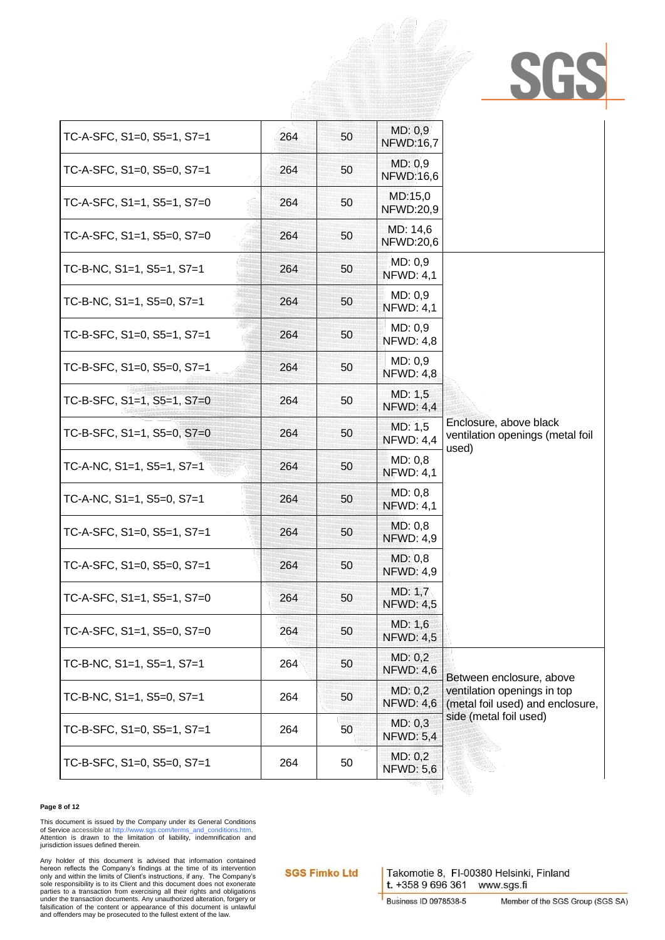| TC-A-SFC, S1=0, S5=1, S7=1         | 264 | 50 | MD: 0,9<br><b>NFWD:16,7</b>  |                                                                     |  |
|------------------------------------|-----|----|------------------------------|---------------------------------------------------------------------|--|
| TC-A-SFC, S1=0, S5=0, S7=1         | 264 | 50 | MD: 0.9<br><b>NFWD:16,6</b>  |                                                                     |  |
| TC-A-SFC, S1=1, S5=1, S7=0         | 264 | 50 | MD:15,0<br><b>NFWD:20,9</b>  |                                                                     |  |
| TC-A-SFC, S1=1, S5=0, S7=0         | 264 | 50 | MD: 14,6<br><b>NFWD:20,6</b> |                                                                     |  |
| TC-B-NC, S1=1, S5=1, S7=1          | 264 | 50 | MD: 0,9<br><b>NFWD: 4,1</b>  |                                                                     |  |
| TC-B-NC, $S1=1$ , $S5=0$ , $S7=1$  | 264 | 50 | MD: 0.9<br><b>NFWD: 4,1</b>  |                                                                     |  |
| TC-B-SFC, S1=0, S5=1, S7=1         | 264 | 50 | MD: 0,9<br><b>NFWD: 4,8</b>  |                                                                     |  |
| TC-B-SFC, S1=0, S5=0, S7=1         | 264 | 50 | MD: 0,9<br><b>NFWD: 4,8</b>  |                                                                     |  |
| TC-B-SFC, $S1=1$ , $S5=1$ , $S7=0$ | 264 | 50 | MD: 1,5<br><b>NFWD: 4,4</b>  |                                                                     |  |
| TC-B-SFC, $S1=1$ , $S5=0$ , $S7=0$ | 264 | 50 | MD: 1,5<br><b>NFWD: 4,4</b>  | Enclosure, above black<br>ventilation openings (metal foil<br>used) |  |
| TC-A-NC, S1=1, S5=1, S7=1          | 264 | 50 | MD: 0,8<br><b>NFWD: 4,1</b>  |                                                                     |  |
| TC-A-NC, $S1=1$ , $S5=0$ , $S7=1$  | 264 | 50 | MD: 0,8<br><b>NFWD: 4,1</b>  |                                                                     |  |
| TC-A-SFC, $S1=0$ , $S5=1$ , $S7=1$ | 264 | 50 | MD: 0,8<br><b>NFWD: 4,9</b>  |                                                                     |  |
| TC-A-SFC, S1=0, S5=0, S7=1         | 264 | 50 | MD: 0,8<br><b>NFWD: 4,9</b>  |                                                                     |  |
| TC-A-SFC, S1=1, S5=1, S7=0         | 264 | 50 | MD: 1,7<br><b>NFWD: 4,5</b>  |                                                                     |  |
| TC-A-SFC, S1=1, S5=0, S7=0         | 264 | 50 | MD: 1,6<br><b>NFWD: 4,5</b>  |                                                                     |  |
| TC-B-NC, S1=1, S5=1, S7=1          | 264 | 50 | MD: 0,2<br><b>NFWD: 4,6</b>  | Between enclosure, above                                            |  |
| TC-B-NC, S1=1, S5=0, S7=1          | 264 | 50 | MD: 0,2<br><b>NFWD: 4,6</b>  | ventilation openings in top<br>(metal foil used) and enclosure,     |  |
| TC-B-SFC, S1=0, S5=1, S7=1         | 264 | 50 | MD: 0,3<br><b>NFWD: 5,4</b>  | side (metal foil used)                                              |  |
| TC-B-SFC, S1=0, S5=0, S7=1         | 264 | 50 | MD: 0,2<br><b>NFWD: 5,6</b>  |                                                                     |  |
|                                    |     |    |                              |                                                                     |  |

### **Page 8 of 12**

This document is issued by the Company under its General Conditions<br>of Service accessible a[t http://www.sgs.com/terms\\_and\\_conditions.htm.](http://www.sgs.com/terms_and_conditions.htm)<br>Attention is drawn to the limitation of liability, indemnification and jurisdiction issues defined therein.

Any holder of this document is advised that information contained<br>hereon reflects the Company's findings at the time of its intervention<br>only and within the limits of Client's instructions, if any. The Company's<br>sole respo falsification of the content or appearance of this document is unlawful and offenders may be prosecuted to the fullest extent of the law.

**SGS Fimko Ltd**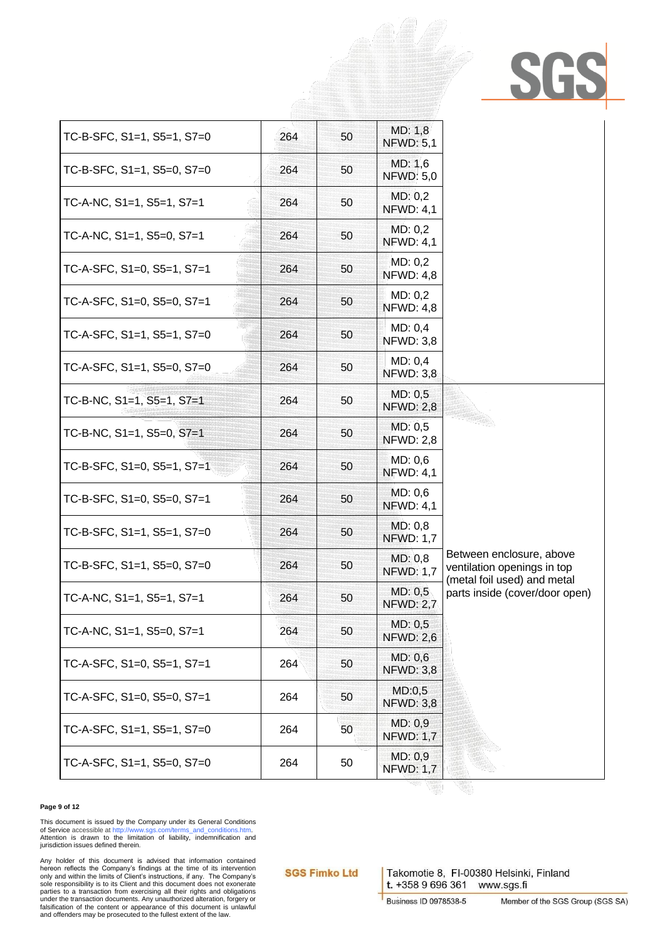| TC-B-SFC, $S1=1$ , $S5=1$ , $S7=0$ | 264 | 50 | MD: 1,8<br><b>NFWD: 5,1</b> |                                                                                        |
|------------------------------------|-----|----|-----------------------------|----------------------------------------------------------------------------------------|
| TC-B-SFC, S1=1, S5=0, S7=0         | 264 | 50 | MD: 1,6<br><b>NFWD: 5,0</b> |                                                                                        |
| TC-A-NC, $S1=1$ , $S5=1$ , $S7=1$  | 264 | 50 | MD: 0,2<br><b>NFWD: 4,1</b> |                                                                                        |
| TC-A-NC, $S1=1$ , $S5=0$ , $S7=1$  | 264 | 50 | MD: 0,2<br><b>NFWD: 4,1</b> |                                                                                        |
| TC-A-SFC, S1=0, S5=1, S7=1         | 264 | 50 | MD: 0,2<br><b>NFWD: 4,8</b> |                                                                                        |
| TC-A-SFC, S1=0, S5=0, S7=1         | 264 | 50 | MD: 0,2<br><b>NFWD: 4,8</b> |                                                                                        |
| TC-A-SFC, S1=1, S5=1, S7=0         | 264 | 50 | MD: 0,4<br><b>NFWD: 3,8</b> |                                                                                        |
| TC-A-SFC, S1=1, S5=0, S7=0         | 264 | 50 | MD: 0,4<br><b>NFWD: 3,8</b> |                                                                                        |
| TC-B-NC, S1=1, S5=1, S7=1          | 264 | 50 | MD: 0,5<br><b>NFWD: 2,8</b> |                                                                                        |
| TC-B-NC, S1=1, S5=0, S7=1          | 264 | 50 | MD: 0,5<br><b>NFWD: 2,8</b> |                                                                                        |
| TC-B-SFC, $S1=0$ , $S5=1$ , $S7=1$ | 264 | 50 | MD: 0,6<br><b>NFWD: 4,1</b> |                                                                                        |
| TC-B-SFC, S1=0, S5=0, S7=1         | 264 | 50 | MD: 0,6<br><b>NFWD: 4,1</b> |                                                                                        |
| TC-B-SFC, S1=1, S5=1, S7=0         | 264 | 50 | MD: 0,8<br><b>NFWD: 1,7</b> |                                                                                        |
| TC-B-SFC, S1=1, S5=0, S7=0         | 264 | 50 | MD: 0,8<br><b>NFWD: 1,7</b> | Between enclosure, above<br>ventilation openings in top<br>(metal foil used) and metal |
| TC-A-NC, S1=1, S5=1, S7=1          | 264 | 50 | MD: 0,5<br><b>NFWD: 2,7</b> | parts inside (cover/door open)                                                         |
| TC-A-NC, S1=1, S5=0, S7=1          | 264 | 50 | MD: 0,5<br><b>NFWD: 2,6</b> |                                                                                        |
| TC-A-SFC, S1=0, S5=1, S7=1         | 264 | 50 | MD: 0,6<br><b>NFWD: 3,8</b> |                                                                                        |
| TC-A-SFC, S1=0, S5=0, S7=1         | 264 | 50 | MD:0,5<br><b>NFWD: 3,8</b>  |                                                                                        |
| TC-A-SFC, S1=1, S5=1, S7=0         | 264 | 50 | MD: 0,9<br><b>NFWD: 1,7</b> |                                                                                        |
| TC-A-SFC, S1=1, S5=0, S7=0         | 264 | 50 | MD: 0,9<br><b>NFWD: 1,7</b> |                                                                                        |

### **Page 9 of 12**

This document is issued by the Company under its General Conditions<br>of Service accessible a[t http://www.sgs.com/terms\\_and\\_conditions.htm.](http://www.sgs.com/terms_and_conditions.htm)<br>Attention is drawn to the limitation of liability, indemnification and jurisdiction issues defined therein.

Any holder of this document is advised that information contained<br>hereon reflects the Company's findings at the time of its intervention<br>only and within the limits of Client's instructions, if any. The Company's<br>sole respo parties to a transaction from exercising all their rights and obligations under the transaction documents. Any unauthorized alteration, forgery or falsification of the content or appearance of this document is unlawful and offenders may be prosecuted to the fullest extent of the law.

**SGS Fimko Ltd**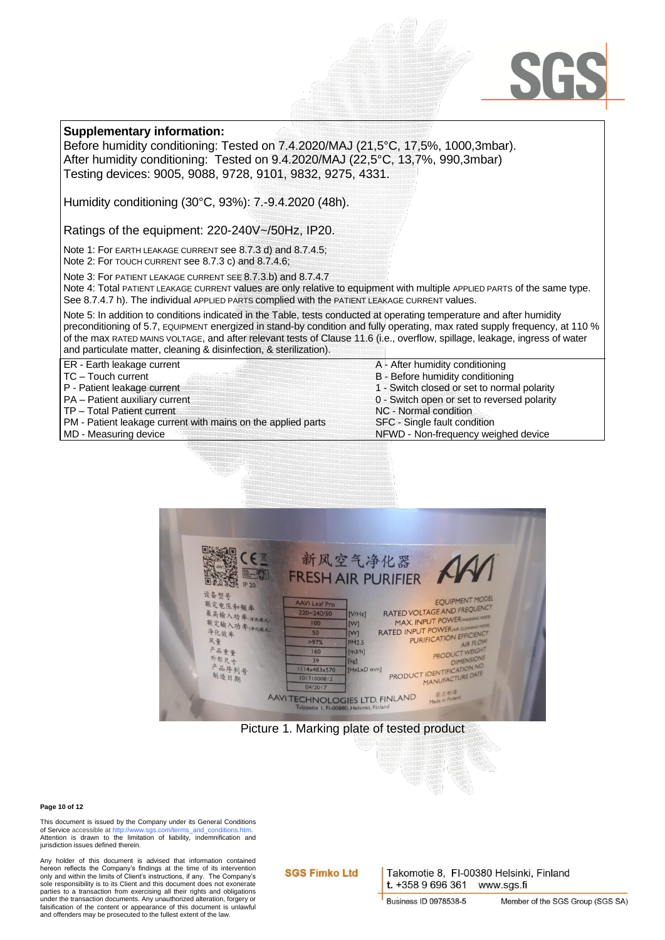### SG

### **Supplementary information:**

Before humidity conditioning: Tested on 7.4.2020/MAJ (21,5°C, 17,5%, 1000,3mbar). After humidity conditioning: Tested on 9.4.2020/MAJ (22,5°C, 13,7%, 990,3mbar) Testing devices: 9005, 9088, 9728, 9101, 9832, 9275, 4331.

Humidity conditioning (30°C, 93%): 7.-9.4.2020 (48h).

Ratings of the equipment: 220-240V~/50Hz, IP20.

Note 1: For EARTH LEAKAGE CURRENT see 8.7.3 d) and 8.7.4.5;

Note 2: For TOUCH CURRENT see 8.7.3 c) and 8.7.4.6;

Note 3: For PATIENT LEAKAGE CURRENT SEE 8.7.3.b) and 8.7.4.7

Note 4: Total PATIENT LEAKAGE CURRENT values are only relative to equipment with multiple APPLIED PARTS of the same type. See 8.7.4.7 h). The individual APPLIED PARTS complied with the PATIENT LEAKAGE CURRENT values.

Note 5: In addition to conditions indicated in the Table, tests conducted at operating temperature and after humidity preconditioning of 5.7, EQUIPMENT energized in stand-by condition and fully operating, max rated supply frequency, at 110 % of the max RATED MAINS VOLTAGE, and after relevant tests of Clause 11.6 (i.e., overflow, spillage, leakage, ingress of water and particulate matter, cleaning & disinfection, & sterilization).

ER - Earth leakage current

- TC Touch current
- P Patient leakage current
- PA Patient auxiliary current
- TP Total Patient current

PM - Patient leakage current with mains on the applied parts

MD - Measuring device

A - After humidity conditioning B - Before humidity conditioning 1 - Switch closed or set to normal polarity 0 - Switch open or set to reversed polarity NC - Normal condition SFC - Single fault condition NFWD - Non-frequency weighed device



Picture 1. Marking plate of tested product

#### **Page 10 of 12**

This document is issued by the Company under its General Conditions of Service accessible at http://www.sos.com/terms.and.conditions.htm of Service accessible at http: Attention is drawn to the limitation of liability, indemnification and jurisdiction issues defined therein.

Any holder of this document is advised that information contained hereon reflects the Company's findings at the time of its intervention only and within the limits of Client's instructions, if any. The Company's sole responsibility is to its Client and this document does not exonerate parties to a transaction from exercising all their rights and obligations under the transaction documents. Any unauthorized alteration, forgery or falsification of the content or appearance of this document is unlawful and offenders may be prosecuted to the fullest extent of the law.

### **SGS Fimko Ltd**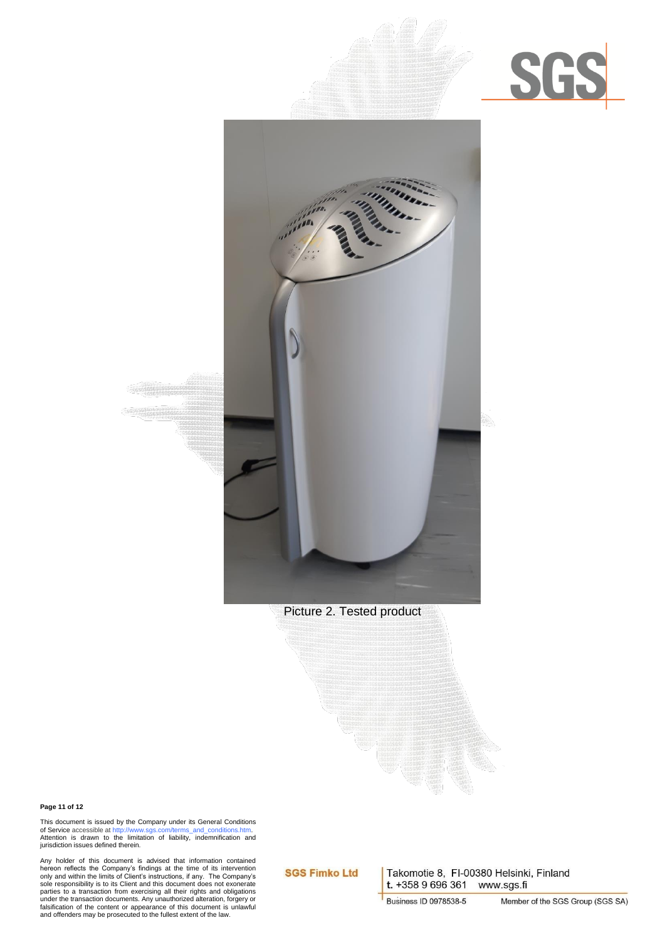



Picture 2. Tested product

#### **Page 11 of 12**

This document is issued by the Company under its General Conditions<br>of Service accessible a[t http://www.sgs.com/terms\\_and\\_conditions.htm.](http://www.sgs.com/terms_and_conditions.htm)<br>Attention is drawn to the limitation of liability, indemnification and jurisdiction issues defined therein.

Any holder of this document is advised that information contained<br>hereon reflects the Company's findings at the time of its intervention<br>only and within the limits of Client's instructions, if any. The Company's<br>sole respo parties to a transaction from exercising all their rights and obligations under the transaction documents. Any unauthorized alteration, forgery or falsification of the content or appearance of this document is unlawful and offenders may be prosecuted to the fullest extent of the law.

### **SGS Fimko Ltd**

Takomotie 8, FI-00380 Helsinki, Finland t. +358 9 696 361 www.sgs.fi

**Business ID 0978538-5**